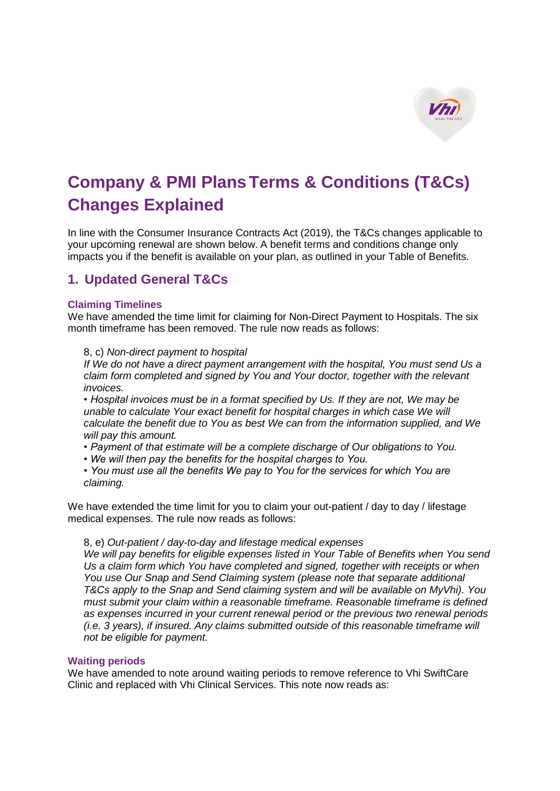

# **Company & PMI PlansTerms & Conditions (T&Cs) Changes Explained**

In line with the Consumer Insurance Contracts Act (2019), the T&Cs changes applicable to your upcoming renewal are shown below. A benefit terms and conditions change only impacts you if the benefit is available on your plan, as outlined in your Table of Benefits.

# **1. Updated General T&Cs**

# **Claiming Timelines**

We have amended the time limit for claiming for Non-Direct Payment to Hospitals. The six month timeframe has been removed. The rule now reads as follows:

# 8, c) *Non-direct payment to hospital*

*If We do not have a direct payment arrangement with the hospital, You must send Us a claim form completed and signed by You and Your doctor, together with the relevant invoices.*

*• Hospital invoices must be in a format specified by Us. If they are not, We may be unable to calculate Your exact benefit for hospital charges in which case We will calculate the benefit due to You as best We can from the information supplied, and We will pay this amount.*

- *Payment of that estimate will be a complete discharge of Our obligations to You.*
- *We will then pay the benefits for the hospital charges to You.*

*• You must use all the benefits We pay to You for the services for which You are claiming.*

We have extended the time limit for you to claim your out-patient / day to day / lifestage medical expenses. The rule now reads as follows:

# 8, e) *Out-patient / day-to-day and lifestage medical expenses*

*We will pay benefits for eligible expenses listed in Your Table of Benefits when You send Us a claim form which You have completed and signed, together with receipts or when You use Our Snap and Send Claiming system (please note that separate additional T&Cs apply to the Snap and Send claiming system and will be available on MyVhi). You must submit your claim within a reasonable timeframe. Reasonable timeframe is defined as expenses incurred in your current renewal period or the previous two renewal periods (i.e. 3 years), if insured. Any claims submitted outside of this reasonable timeframe will not be eligible for payment.*

# **Waiting periods**

We have amended to note around waiting periods to remove reference to Vhi SwiftCare Clinic and replaced with Vhi Clinical Services. This note now reads as: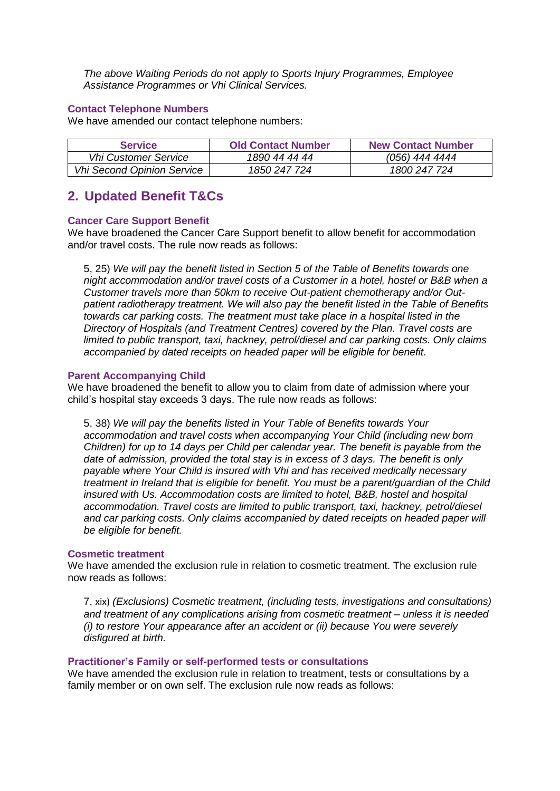*The above Waiting Periods do not apply to Sports Injury Programmes, Employee Assistance Programmes or Vhi Clinical Services.*

# **Contact Telephone Numbers**

We have amended our contact telephone numbers:

| <b>Service</b>                    | <b>Old Contact Number</b> | <b>New Contact Number</b> |
|-----------------------------------|---------------------------|---------------------------|
| <b>Vhi Customer Service</b>       | 1890 44 44 44             | (056) 444 4444            |
| <b>Vhi Second Opinion Service</b> | 1850 247 724              | 1800 247 724              |

# **2. Updated Benefit T&Cs**

# **Cancer Care Support Benefit**

We have broadened the Cancer Care Support benefit to allow benefit for accommodation and/or travel costs. The rule now reads as follows:

5, 25) *We will pay the benefit listed in Section 5 of the Table of Benefits towards one night accommodation and/or travel costs of a Customer in a hotel, hostel or B&B when a Customer travels more than 50km to receive Out-patient chemotherapy and/or Outpatient radiotherapy treatment. We will also pay the benefit listed in the Table of Benefits towards car parking costs. The treatment must take place in a hospital listed in the Directory of Hospitals (and Treatment Centres) covered by the Plan. Travel costs are limited to public transport, taxi, hackney, petrol/diesel and car parking costs. Only claims accompanied by dated receipts on headed paper will be eligible for benefit.*

# **Parent Accompanying Child**

We have broadened the benefit to allow you to claim from date of admission where your child's hospital stay exceeds 3 days. The rule now reads as follows:

5, 38) *We will pay the benefits listed in Your Table of Benefits towards Your accommodation and travel costs when accompanying Your Child (including new born Children) for up to 14 days per Child per calendar year. The benefit is payable from the date of admission, provided the total stay is in excess of 3 days. The benefit is only payable where Your Child is insured with Vhi and has received medically necessary treatment in Ireland that is eligible for benefit. You must be a parent/guardian of the Child insured with Us. Accommodation costs are limited to hotel, B&B, hostel and hospital accommodation. Travel costs are limited to public transport, taxi, hackney, petrol/diesel*  and car parking costs. Only claims accompanied by dated receipts on headed paper will *be eligible for benefit.*

#### **Cosmetic treatment**

We have amended the exclusion rule in relation to cosmetic treatment. The exclusion rule now reads as follows:

7, xix) *(Exclusions) Cosmetic treatment, (including tests, investigations and consultations) and treatment of any complications arising from cosmetic treatment – unless it is needed (i) to restore Your appearance after an accident or (ii) because You were severely disfigured at birth.*

#### **Practitioner's Family or self-performed tests or consultations**

We have amended the exclusion rule in relation to treatment, tests or consultations by a family member or on own self. The exclusion rule now reads as follows: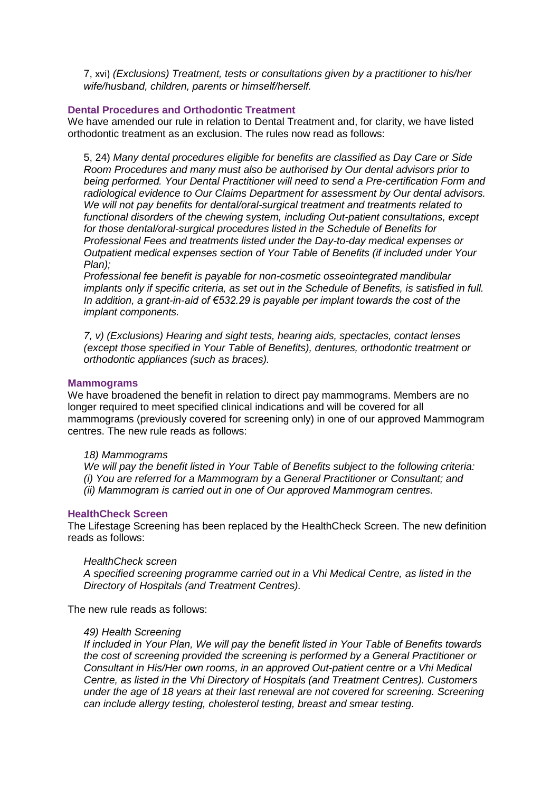7, xvi) *(Exclusions) Treatment, tests or consultations given by a practitioner to his/her wife/husband, children, parents or himself/herself.*

# **Dental Procedures and Orthodontic Treatment**

We have amended our rule in relation to Dental Treatment and, for clarity, we have listed orthodontic treatment as an exclusion. The rules now read as follows:

5, 24) *Many dental procedures eligible for benefits are classified as Day Care or Side Room Procedures and many must also be authorised by Our dental advisors prior to being performed. Your Dental Practitioner will need to send a Pre-certification Form and radiological evidence to Our Claims Department for assessment by Our dental advisors. We will not pay benefits for dental/oral-surgical treatment and treatments related to functional disorders of the chewing system, including Out-patient consultations, except for those dental/oral-surgical procedures listed in the Schedule of Benefits for Professional Fees and treatments listed under the Day-to-day medical expenses or Outpatient medical expenses section of Your Table of Benefits (if included under Your Plan);*

*Professional fee benefit is payable for non-cosmetic osseointegrated mandibular implants only if specific criteria, as set out in the Schedule of Benefits, is satisfied in full. In addition, a grant-in-aid of €532.29 is payable per implant towards the cost of the implant components.*

*7, v) (Exclusions) Hearing and sight tests, hearing aids, spectacles, contact lenses (except those specified in Your Table of Benefits), dentures, orthodontic treatment or orthodontic appliances (such as braces).*

#### **Mammograms**

We have broadened the benefit in relation to direct pay mammograms. Members are no longer required to meet specified clinical indications and will be covered for all mammograms (previously covered for screening only) in one of our approved Mammogram centres. The new rule reads as follows:

#### *18) Mammograms*

*We will pay the benefit listed in Your Table of Benefits subject to the following criteria: (i) You are referred for a Mammogram by a General Practitioner or Consultant; and (ii) Mammogram is carried out in one of Our approved Mammogram centres.*

#### **HealthCheck Screen**

The Lifestage Screening has been replaced by the HealthCheck Screen. The new definition reads as follows:

#### *HealthCheck screen*

*A specified screening programme carried out in a Vhi Medical Centre, as listed in the Directory of Hospitals (and Treatment Centres).*

The new rule reads as follows:

#### *49) Health Screening*

*If included in Your Plan, We will pay the benefit listed in Your Table of Benefits towards the cost of screening provided the screening is performed by a General Practitioner or Consultant in His/Her own rooms, in an approved Out-patient centre or a Vhi Medical Centre, as listed in the Vhi Directory of Hospitals (and Treatment Centres). Customers under the age of 18 years at their last renewal are not covered for screening. Screening can include allergy testing, cholesterol testing, breast and smear testing.*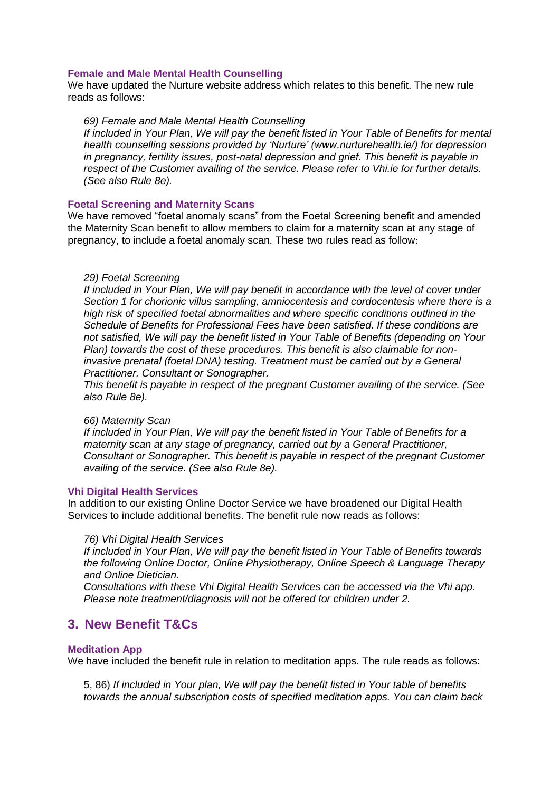#### **Female and Male Mental Health Counselling**

We have updated the Nurture website address which relates to this benefit. The new rule reads as follows:

#### *69) Female and Male Mental Health Counselling*

*If included in Your Plan, We will pay the benefit listed in Your Table of Benefits for mental health counselling sessions provided by 'Nurture' (www.nurturehealth.ie/) for depression in pregnancy, fertility issues, post-natal depression and grief. This benefit is payable in respect of the Customer availing of the service. Please refer to Vhi.ie for further details. (See also Rule 8e).*

#### **Foetal Screening and Maternity Scans**

We have removed "foetal anomaly scans" from the Foetal Screening benefit and amended the Maternity Scan benefit to allow members to claim for a maternity scan at any stage of pregnancy, to include a foetal anomaly scan. These two rules read as follow:

#### *29) Foetal Screening*

*If included in Your Plan, We will pay benefit in accordance with the level of cover under Section 1 for chorionic villus sampling, amniocentesis and cordocentesis where there is a high risk of specified foetal abnormalities and where specific conditions outlined in the Schedule of Benefits for Professional Fees have been satisfied. If these conditions are not satisfied, We will pay the benefit listed in Your Table of Benefits (depending on Your Plan) towards the cost of these procedures. This benefit is also claimable for noninvasive prenatal (foetal DNA) testing. Treatment must be carried out by a General Practitioner, Consultant or Sonographer.*

*This benefit is payable in respect of the pregnant Customer availing of the service. (See also Rule 8e).*

#### *66) Maternity Scan*

*If included in Your Plan, We will pay the benefit listed in Your Table of Benefits for a maternity scan at any stage of pregnancy, carried out by a General Practitioner, Consultant or Sonographer. This benefit is payable in respect of the pregnant Customer availing of the service. (See also Rule 8e).*

#### **Vhi Digital Health Services**

In addition to our existing Online Doctor Service we have broadened our Digital Health Services to include additional benefits. The benefit rule now reads as follows:

#### *76) Vhi Digital Health Services*

*If included in Your Plan, We will pay the benefit listed in Your Table of Benefits towards the following Online Doctor, Online Physiotherapy, Online Speech & Language Therapy and Online Dietician.* 

*Consultations with these Vhi Digital Health Services can be accessed via the Vhi app. Please note treatment/diagnosis will not be offered for children under 2.*

# **3. New Benefit T&Cs**

#### **Meditation App**

We have included the benefit rule in relation to meditation apps. The rule reads as follows:

5, 86) *If included in Your plan, We will pay the benefit listed in Your table of benefits towards the annual subscription costs of specified meditation apps. You can claim back*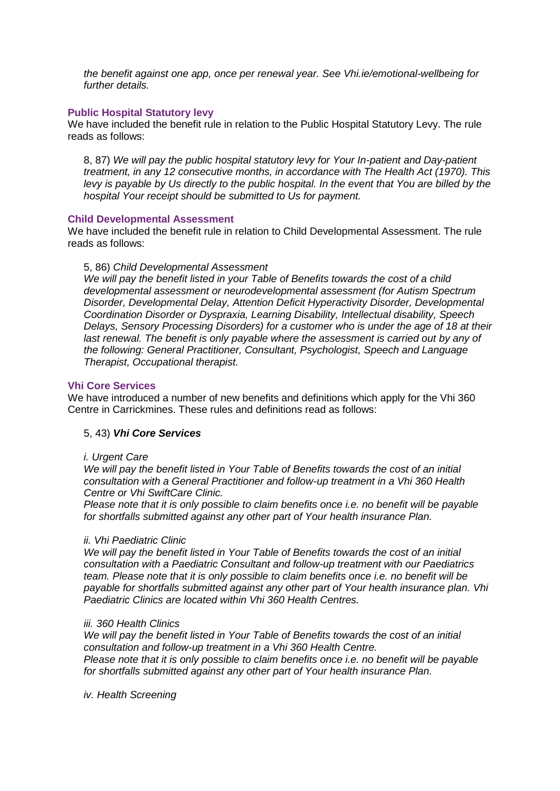*the benefit against one app, once per renewal year. See Vhi.ie/emotional-wellbeing for further details.*

# **Public Hospital Statutory levy**

We have included the benefit rule in relation to the Public Hospital Statutory Levy. The rule reads as follows:

8, 87) *We will pay the public hospital statutory levy for Your In-patient and Day-patient treatment, in any 12 consecutive months, in accordance with The Health Act (1970). This levy is payable by Us directly to the public hospital. In the event that You are billed by the hospital Your receipt should be submitted to Us for payment.*

#### **Child Developmental Assessment**

We have included the benefit rule in relation to Child Developmental Assessment. The rule reads as follows:

#### 5, 86) *Child Developmental Assessment*

*We will pay the benefit listed in your Table of Benefits towards the cost of a child developmental assessment or neurodevelopmental assessment (for Autism Spectrum Disorder, Developmental Delay, Attention Deficit Hyperactivity Disorder, Developmental Coordination Disorder or Dyspraxia, Learning Disability, Intellectual disability, Speech Delays, Sensory Processing Disorders) for a customer who is under the age of 18 at their*  last renewal. The benefit is only payable where the assessment is carried out by any of *the following: General Practitioner, Consultant, Psychologist, Speech and Language Therapist, Occupational therapist.*

# **Vhi Core Services**

We have introduced a number of new benefits and definitions which apply for the Vhi 360 Centre in Carrickmines. These rules and definitions read as follows:

# 5, 43) *Vhi Core Services*

#### *i. Urgent Care*

*We will pay the benefit listed in Your Table of Benefits towards the cost of an initial consultation with a General Practitioner and follow-up treatment in a Vhi 360 Health Centre or Vhi SwiftCare Clinic.* 

*Please note that it is only possible to claim benefits once i.e. no benefit will be payable for shortfalls submitted against any other part of Your health insurance Plan.*

#### *ii. Vhi Paediatric Clinic*

*We will pay the benefit listed in Your Table of Benefits towards the cost of an initial consultation with a Paediatric Consultant and follow-up treatment with our Paediatrics team. Please note that it is only possible to claim benefits once i.e. no benefit will be payable for shortfalls submitted against any other part of Your health insurance plan. Vhi Paediatric Clinics are located within Vhi 360 Health Centres.*

#### *iii. 360 Health Clinics*

*We will pay the benefit listed in Your Table of Benefits towards the cost of an initial consultation and follow-up treatment in a Vhi 360 Health Centre. Please note that it is only possible to claim benefits once i.e. no benefit will be payable for shortfalls submitted against any other part of Your health insurance Plan.*

*iv. Health Screening*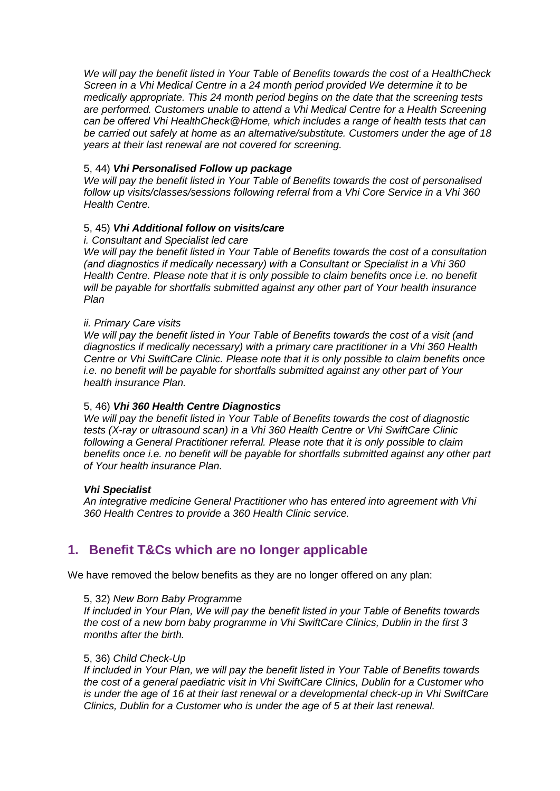*We will pay the benefit listed in Your Table of Benefits towards the cost of a HealthCheck Screen in a Vhi Medical Centre in a 24 month period provided We determine it to be medically appropriate. This 24 month period begins on the date that the screening tests are performed. Customers unable to attend a Vhi Medical Centre for a Health Screening can be offered Vhi HealthCheck@Home, which includes a range of health tests that can be carried out safely at home as an alternative/substitute. Customers under the age of 18 years at their last renewal are not covered for screening.*

# 5, 44) *Vhi Personalised Follow up package*

*We will pay the benefit listed in Your Table of Benefits towards the cost of personalised follow up visits/classes/sessions following referral from a Vhi Core Service in a Vhi 360 Health Centre.*

# 5, 45) *Vhi Additional follow on visits/care*

#### *i. Consultant and Specialist led care*

*We will pay the benefit listed in Your Table of Benefits towards the cost of a consultation (and diagnostics if medically necessary) with a Consultant or Specialist in a Vhi 360 Health Centre. Please note that it is only possible to claim benefits once i.e. no benefit will be payable for shortfalls submitted against any other part of Your health insurance Plan*

# *ii. Primary Care visits*

*We will pay the benefit listed in Your Table of Benefits towards the cost of a visit (and diagnostics if medically necessary) with a primary care practitioner in a Vhi 360 Health Centre or Vhi SwiftCare Clinic. Please note that it is only possible to claim benefits once i.e. no benefit will be payable for shortfalls submitted against any other part of Your health insurance Plan.*

# 5, 46) *Vhi 360 Health Centre Diagnostics*

*We will pay the benefit listed in Your Table of Benefits towards the cost of diagnostic tests (X-ray or ultrasound scan) in a Vhi 360 Health Centre or Vhi SwiftCare Clinic following a General Practitioner referral. Please note that it is only possible to claim benefits once i.e. no benefit will be payable for shortfalls submitted against any other part of Your health insurance Plan.*

# *Vhi Specialist*

*An integrative medicine General Practitioner who has entered into agreement with Vhi 360 Health Centres to provide a 360 Health Clinic service.*

# **1. Benefit T&Cs which are no longer applicable**

We have removed the below benefits as they are no longer offered on any plan:

# 5, 32) *New Born Baby Programme*

*If included in Your Plan, We will pay the benefit listed in your Table of Benefits towards the cost of a new born baby programme in Vhi SwiftCare Clinics, Dublin in the first 3 months after the birth.*

# 5, 36) *Child Check-Up*

*If included in Your Plan, we will pay the benefit listed in Your Table of Benefits towards the cost of a general paediatric visit in Vhi SwiftCare Clinics, Dublin for a Customer who is under the age of 16 at their last renewal or a developmental check-up in Vhi SwiftCare Clinics, Dublin for a Customer who is under the age of 5 at their last renewal.*